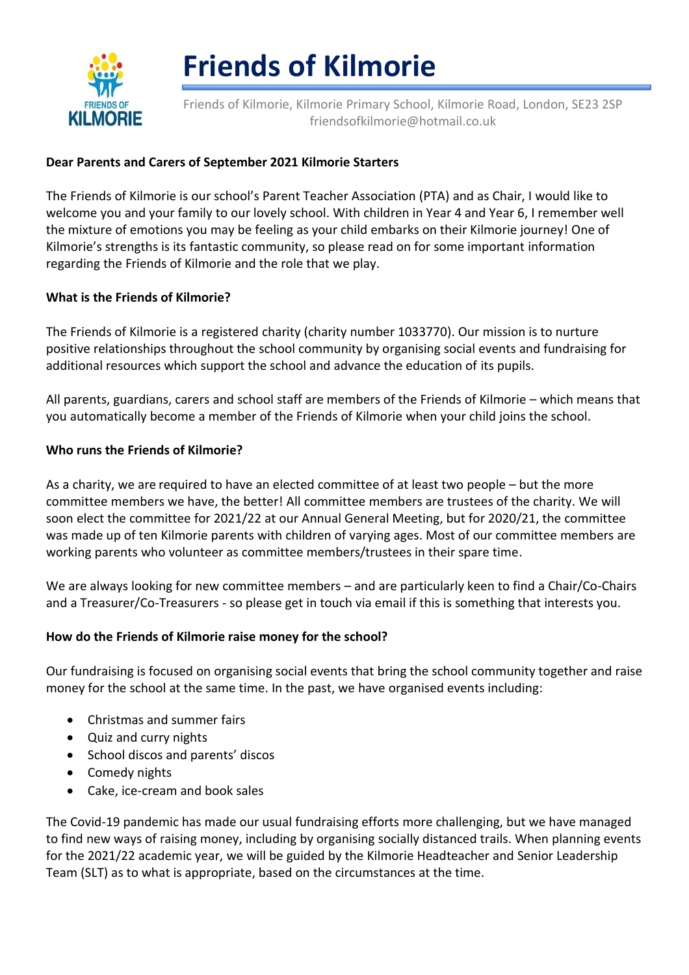

# **Friends of Kilmorie**

Friends of Kilmorie, Kilmorie Primary School, Kilmorie Road, London, SE23 2SP friendsofkilmorie@hotmail.co.uk

## **Dear Parents and Carers of September 2021 Kilmorie Starters**

The Friends of Kilmorie is our school's Parent Teacher Association (PTA) and as Chair, I would like to welcome you and your family to our lovely school. With children in Year 4 and Year 6, I remember well the mixture of emotions you may be feeling as your child embarks on their Kilmorie journey! One of Kilmorie's strengths is its fantastic community, so please read on for some important information regarding the Friends of Kilmorie and the role that we play.

### **What is the Friends of Kilmorie?**

The Friends of Kilmorie is a registered charity (charity number 1033770). Our mission is to nurture positive relationships throughout the school community by organising social events and fundraising for additional resources which support the school and advance the education of its pupils.

All parents, guardians, carers and school staff are members of the Friends of Kilmorie – which means that you automatically become a member of the Friends of Kilmorie when your child joins the school.

### **Who runs the Friends of Kilmorie?**

As a charity, we are required to have an elected committee of at least two people – but the more committee members we have, the better! All committee members are trustees of the charity. We will soon elect the committee for 2021/22 at our Annual General Meeting, but for 2020/21, the committee was made up of ten Kilmorie parents with children of varying ages. Most of our committee members are working parents who volunteer as committee members/trustees in their spare time.

We are always looking for new committee members – and are particularly keen to find a Chair/Co-Chairs and a Treasurer/Co-Treasurers - so please get in touch via email if this is something that interests you.

### **How do the Friends of Kilmorie raise money for the school?**

Our fundraising is focused on organising social events that bring the school community together and raise money for the school at the same time. In the past, we have organised events including:

- Christmas and summer fairs
- Quiz and curry nights
- School discos and parents' discos
- Comedy nights
- Cake, ice-cream and book sales

The Covid-19 pandemic has made our usual fundraising efforts more challenging, but we have managed to find new ways of raising money, including by organising socially distanced trails. When planning events for the 2021/22 academic year, we will be guided by the Kilmorie Headteacher and Senior Leadership Team (SLT) as to what is appropriate, based on the circumstances at the time.